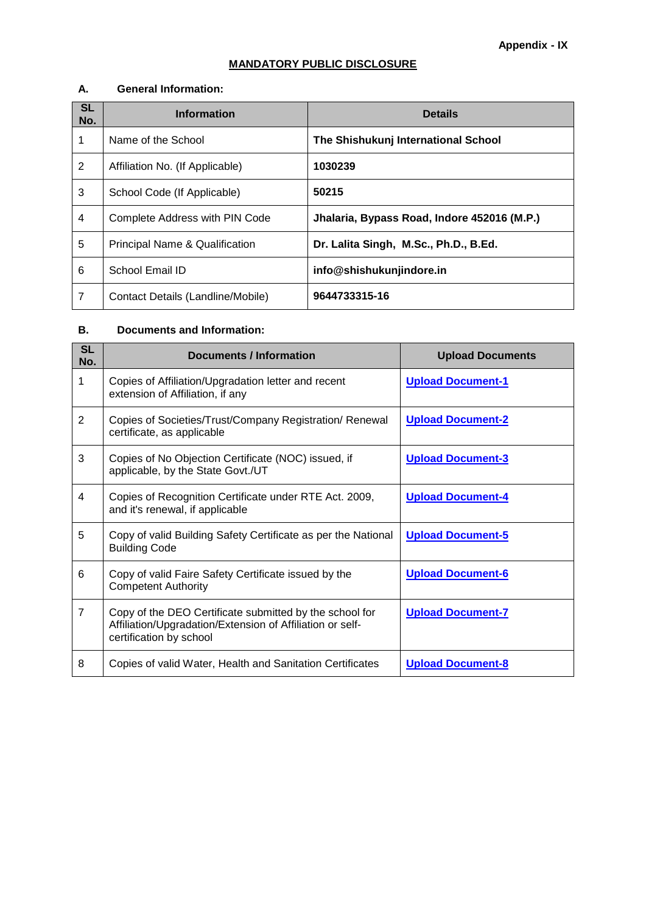## **MANDATORY PUBLIC DISCLOSURE**

#### **A. General Information:**

| <b>SL</b><br>No. | <b>Information</b>                | <b>Details</b>                              |
|------------------|-----------------------------------|---------------------------------------------|
|                  | Name of the School                | The Shishukunj International School         |
| $\overline{2}$   | Affiliation No. (If Applicable)   | 1030239                                     |
| 3                | School Code (If Applicable)       | 50215                                       |
| 4                | Complete Address with PIN Code    | Jhalaria, Bypass Road, Indore 452016 (M.P.) |
| 5                | Principal Name & Qualification    | Dr. Lalita Singh, M.Sc., Ph.D., B.Ed.       |
| 6                | School Email ID                   | info@shishukunjindore.in                    |
| 7                | Contact Details (Landline/Mobile) | 9644733315-16                               |

#### **B. Documents and Information:**

| <b>SL</b><br>No. | <b>Documents / Information</b>                                                                                                                  | <b>Upload Documents</b>  |
|------------------|-------------------------------------------------------------------------------------------------------------------------------------------------|--------------------------|
| 1                | Copies of Affiliation/Upgradation letter and recent<br>extension of Affiliation, if any                                                         | <b>Upload Document-1</b> |
| $\overline{2}$   | Copies of Societies/Trust/Company Registration/ Renewal<br>certificate, as applicable                                                           | <b>Upload Document-2</b> |
| 3                | Copies of No Objection Certificate (NOC) issued, if<br>applicable, by the State Govt./UT                                                        | <b>Upload Document-3</b> |
| 4                | Copies of Recognition Certificate under RTE Act. 2009,<br>and it's renewal, if applicable                                                       | <b>Upload Document-4</b> |
| 5                | Copy of valid Building Safety Certificate as per the National<br><b>Building Code</b>                                                           | <b>Upload Document-5</b> |
| 6                | Copy of valid Faire Safety Certificate issued by the<br><b>Competent Authority</b>                                                              | <b>Upload Document-6</b> |
| $\overline{7}$   | Copy of the DEO Certificate submitted by the school for<br>Affiliation/Upgradation/Extension of Affiliation or self-<br>certification by school | <b>Upload Document-7</b> |
| 8                | Copies of valid Water, Health and Sanitation Certificates                                                                                       | <b>Upload Document-8</b> |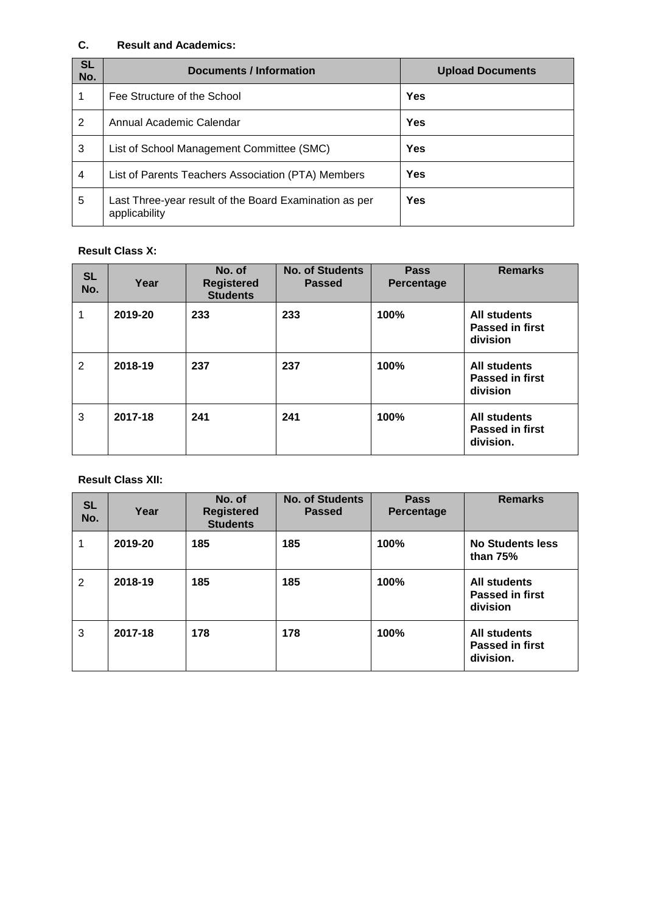### **C. Result and Academics:**

| <b>SL</b><br>No. | Documents / Information                                                 | <b>Upload Documents</b> |
|------------------|-------------------------------------------------------------------------|-------------------------|
|                  | Fee Structure of the School                                             | <b>Yes</b>              |
| 2                | Annual Academic Calendar                                                | <b>Yes</b>              |
| 3                | List of School Management Committee (SMC)                               | Yes                     |
| 4                | List of Parents Teachers Association (PTA) Members                      | <b>Yes</b>              |
| 5                | Last Three-year result of the Board Examination as per<br>applicability | Yes                     |

#### **Result Class X:**

| <b>SL</b><br>No. | Year    | No. of<br><b>Registered</b><br><b>Students</b> | <b>No. of Students</b><br><b>Passed</b> | <b>Pass</b><br>Percentage | <b>Remarks</b>                                             |
|------------------|---------|------------------------------------------------|-----------------------------------------|---------------------------|------------------------------------------------------------|
| 1                | 2019-20 | 233                                            | 233                                     | 100%                      | <b>All students</b><br><b>Passed in first</b><br>division  |
| $\overline{2}$   | 2018-19 | 237                                            | 237                                     | 100%                      | <b>All students</b><br><b>Passed in first</b><br>division  |
| 3                | 2017-18 | 241                                            | 241                                     | 100%                      | <b>All students</b><br><b>Passed in first</b><br>division. |

#### **Result Class XII:**

| <b>SL</b><br>No. | Year    | No. of<br><b>Registered</b><br><b>Students</b> | <b>No. of Students</b><br><b>Passed</b> | <b>Pass</b><br>Percentage | <b>Remarks</b>                                             |
|------------------|---------|------------------------------------------------|-----------------------------------------|---------------------------|------------------------------------------------------------|
|                  | 2019-20 | 185                                            | 185                                     | 100%                      | <b>No Students less</b><br>than 75%                        |
| 2                | 2018-19 | 185                                            | 185                                     | 100%                      | <b>All students</b><br><b>Passed in first</b><br>division  |
| 3                | 2017-18 | 178                                            | 178                                     | 100%                      | <b>All students</b><br><b>Passed in first</b><br>division. |